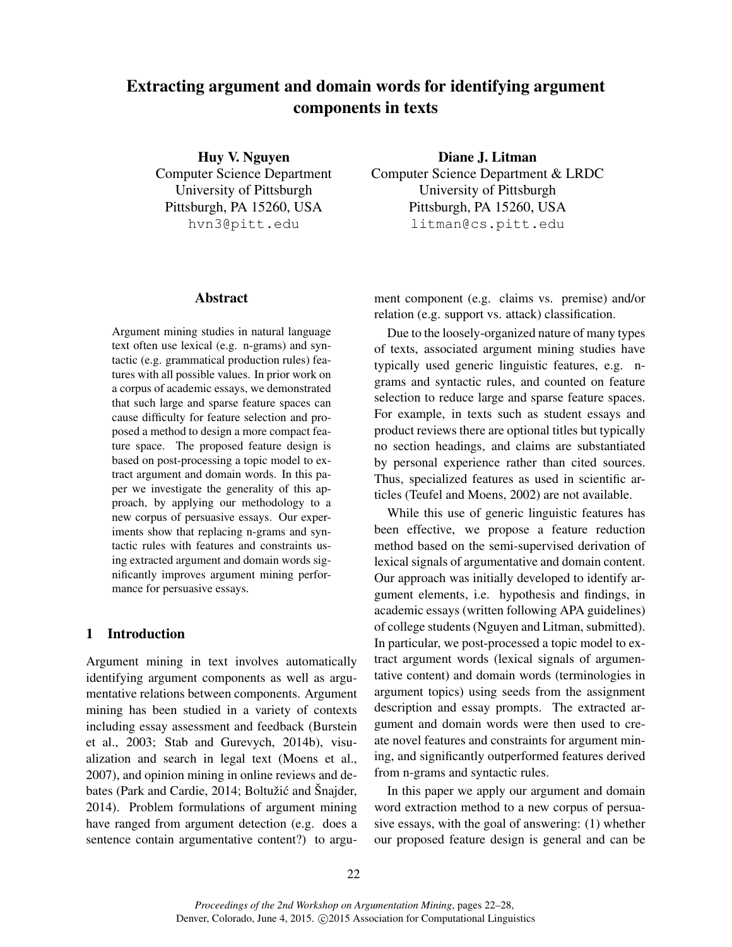# Extracting argument and domain words for identifying argument components in texts

Huy V. Nguyen Computer Science Department University of Pittsburgh Pittsburgh, PA 15260, USA hvn3@pitt.edu

#### Abstract

Argument mining studies in natural language text often use lexical (e.g. n-grams) and syntactic (e.g. grammatical production rules) features with all possible values. In prior work on a corpus of academic essays, we demonstrated that such large and sparse feature spaces can cause difficulty for feature selection and proposed a method to design a more compact feature space. The proposed feature design is based on post-processing a topic model to extract argument and domain words. In this paper we investigate the generality of this approach, by applying our methodology to a new corpus of persuasive essays. Our experiments show that replacing n-grams and syntactic rules with features and constraints using extracted argument and domain words significantly improves argument mining performance for persuasive essays.

# 1 Introduction

Argument mining in text involves automatically identifying argument components as well as argumentative relations between components. Argument mining has been studied in a variety of contexts including essay assessment and feedback (Burstein et al., 2003; Stab and Gurevych, 2014b), visualization and search in legal text (Moens et al., 2007), and opinion mining in online reviews and debates (Park and Cardie, 2014; Boltužic and Šnajder, ´ 2014). Problem formulations of argument mining have ranged from argument detection (e.g. does a sentence contain argumentative content?) to argu-

Diane J. Litman Computer Science Department & LRDC University of Pittsburgh Pittsburgh, PA 15260, USA litman@cs.pitt.edu

ment component (e.g. claims vs. premise) and/or relation (e.g. support vs. attack) classification.

Due to the loosely-organized nature of many types of texts, associated argument mining studies have typically used generic linguistic features, e.g. ngrams and syntactic rules, and counted on feature selection to reduce large and sparse feature spaces. For example, in texts such as student essays and product reviews there are optional titles but typically no section headings, and claims are substantiated by personal experience rather than cited sources. Thus, specialized features as used in scientific articles (Teufel and Moens, 2002) are not available.

While this use of generic linguistic features has been effective, we propose a feature reduction method based on the semi-supervised derivation of lexical signals of argumentative and domain content. Our approach was initially developed to identify argument elements, i.e. hypothesis and findings, in academic essays (written following APA guidelines) of college students (Nguyen and Litman, submitted). In particular, we post-processed a topic model to extract argument words (lexical signals of argumentative content) and domain words (terminologies in argument topics) using seeds from the assignment description and essay prompts. The extracted argument and domain words were then used to create novel features and constraints for argument mining, and significantly outperformed features derived from n-grams and syntactic rules.

In this paper we apply our argument and domain word extraction method to a new corpus of persuasive essays, with the goal of answering: (1) whether our proposed feature design is general and can be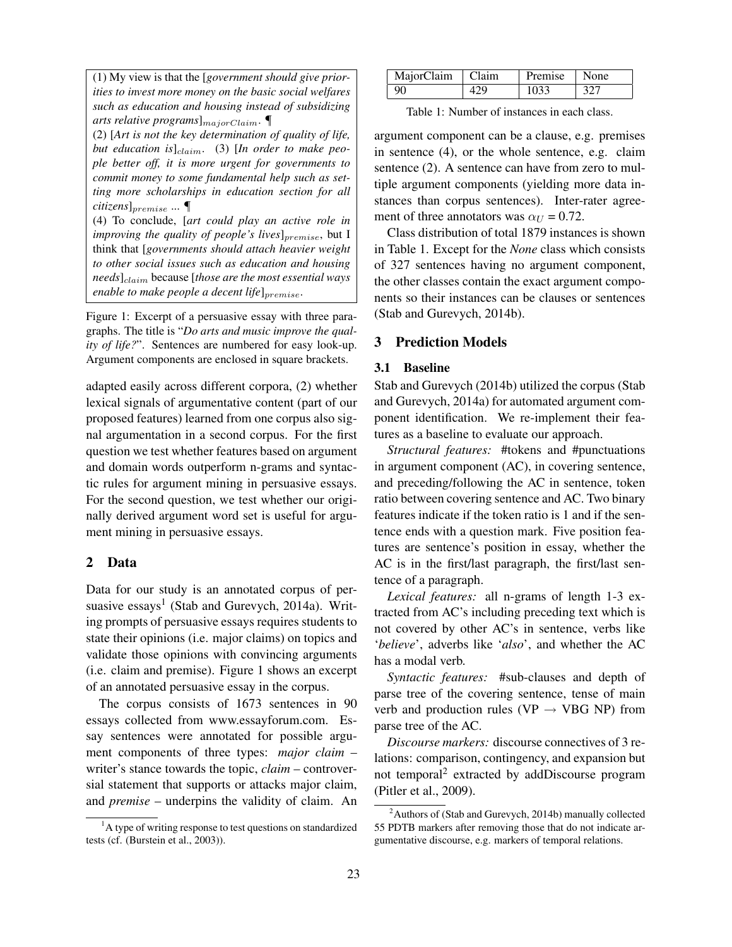(1) My view is that the [*government should give priorities to invest more money on the basic social welfares such as education and housing instead of subsidizing arts relative programs*]<sub>*majorClaim*.</sub>

(2) [*Art is not the key determination of quality of life,* but education is]<sub>claim</sub>. (3) [In order to make peo*ple better off, it is more urgent for governments to commit money to some fundamental help such as setting more scholarships in education section for all citizens*]<sub>premise</sub> ...  $\P$ 

(4) To conclude, [*art could play an active role in improving the quality of people's lives*]<sub>premise</sub>, but I think that [*governments should attach heavier weight to other social issues such as education and housing needs*]<sub>claim</sub> because [those are the most essential ways *enable to make people a decent life*] $_{premise}$ .

Figure 1: Excerpt of a persuasive essay with three paragraphs. The title is "*Do arts and music improve the quality of life?*". Sentences are numbered for easy look-up. Argument components are enclosed in square brackets.

adapted easily across different corpora, (2) whether lexical signals of argumentative content (part of our proposed features) learned from one corpus also signal argumentation in a second corpus. For the first question we test whether features based on argument and domain words outperform n-grams and syntactic rules for argument mining in persuasive essays. For the second question, we test whether our originally derived argument word set is useful for argument mining in persuasive essays.

### 2 Data

Data for our study is an annotated corpus of persuasive essays<sup>1</sup> (Stab and Gurevych, 2014a). Writing prompts of persuasive essays requires students to state their opinions (i.e. major claims) on topics and validate those opinions with convincing arguments (i.e. claim and premise). Figure 1 shows an excerpt of an annotated persuasive essay in the corpus.

The corpus consists of 1673 sentences in 90 essays collected from www.essayforum.com. Essay sentences were annotated for possible argument components of three types: *major claim* – writer's stance towards the topic, *claim* – controversial statement that supports or attacks major claim, and *premise* – underpins the validity of claim. An

 $<sup>1</sup>A$  type of writing response to test questions on standardized</sup> tests (cf. (Burstein et al., 2003)).

| MajorClaim   Claim |     | Premise   None |     |
|--------------------|-----|----------------|-----|
| 90                 | 42Q | 1033           | 327 |

Table 1: Number of instances in each class.

argument component can be a clause, e.g. premises in sentence (4), or the whole sentence, e.g. claim sentence (2). A sentence can have from zero to multiple argument components (yielding more data instances than corpus sentences). Inter-rater agreement of three annotators was  $\alpha_U = 0.72$ .

Class distribution of total 1879 instances is shown in Table 1. Except for the *None* class which consists of 327 sentences having no argument component, the other classes contain the exact argument components so their instances can be clauses or sentences (Stab and Gurevych, 2014b).

# 3 Prediction Models

# 3.1 Baseline

Stab and Gurevych (2014b) utilized the corpus (Stab and Gurevych, 2014a) for automated argument component identification. We re-implement their features as a baseline to evaluate our approach.

*Structural features:* #tokens and #punctuations in argument component (AC), in covering sentence, and preceding/following the AC in sentence, token ratio between covering sentence and AC. Two binary features indicate if the token ratio is 1 and if the sentence ends with a question mark. Five position features are sentence's position in essay, whether the AC is in the first/last paragraph, the first/last sentence of a paragraph.

*Lexical features:* all n-grams of length 1-3 extracted from AC's including preceding text which is not covered by other AC's in sentence, verbs like '*believe*', adverbs like '*also*', and whether the AC has a modal verb.

*Syntactic features:* #sub-clauses and depth of parse tree of the covering sentence, tense of main verb and production rules ( $VP \rightarrow VBG NP$ ) from parse tree of the AC.

*Discourse markers:* discourse connectives of 3 relations: comparison, contingency, and expansion but not temporal<sup>2</sup> extracted by addDiscourse program (Pitler et al., 2009).

<sup>&</sup>lt;sup>2</sup>Authors of (Stab and Gurevych, 2014b) manually collected 55 PDTB markers after removing those that do not indicate argumentative discourse, e.g. markers of temporal relations.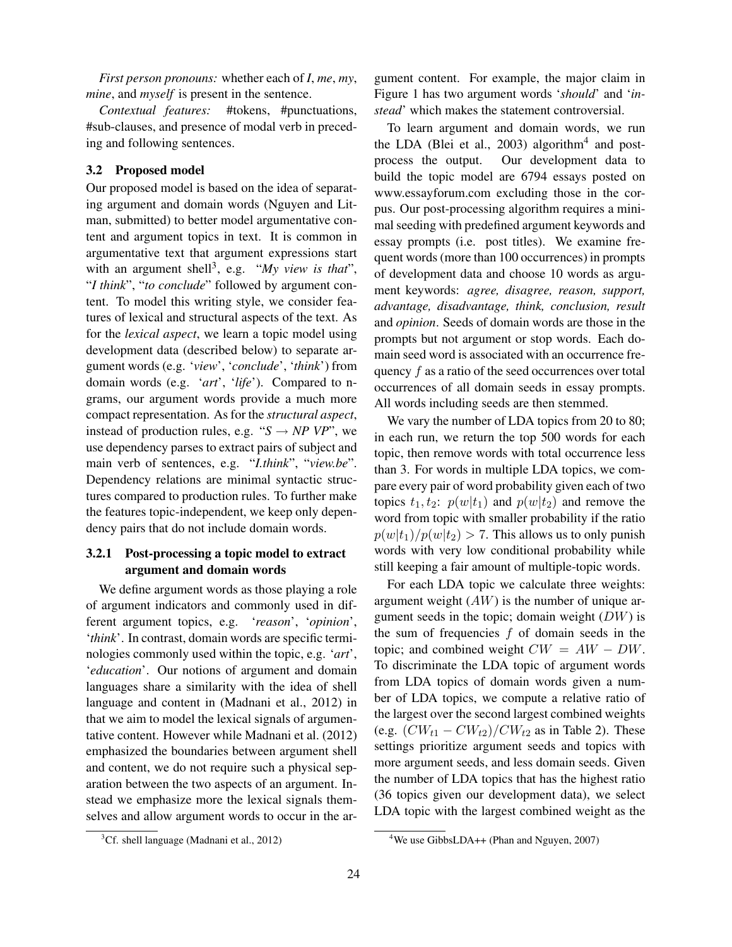*First person pronouns:* whether each of *I*, *me*, *my*, *mine*, and *myself* is present in the sentence.

*Contextual features:* #tokens, #punctuations, #sub-clauses, and presence of modal verb in preceding and following sentences.

# 3.2 Proposed model

Our proposed model is based on the idea of separating argument and domain words (Nguyen and Litman, submitted) to better model argumentative content and argument topics in text. It is common in argumentative text that argument expressions start with an argument shell<sup>3</sup>, e.g. "My view is that", "*I think*", "*to conclude*" followed by argument content. To model this writing style, we consider features of lexical and structural aspects of the text. As for the *lexical aspect*, we learn a topic model using development data (described below) to separate argument words (e.g. '*view*', '*conclude*', '*think*') from domain words (e.g. '*art*', '*life*'). Compared to ngrams, our argument words provide a much more compact representation. As for the *structural aspect*, instead of production rules, e.g. " $S \rightarrow NP VP$ ", we use dependency parses to extract pairs of subject and main verb of sentences, e.g. "*I.think*", "*view.be*". Dependency relations are minimal syntactic structures compared to production rules. To further make the features topic-independent, we keep only dependency pairs that do not include domain words.

# 3.2.1 Post-processing a topic model to extract argument and domain words

We define argument words as those playing a role of argument indicators and commonly used in different argument topics, e.g. '*reason*', '*opinion*', '*think*'. In contrast, domain words are specific terminologies commonly used within the topic, e.g. '*art*', '*education*'. Our notions of argument and domain languages share a similarity with the idea of shell language and content in (Madnani et al., 2012) in that we aim to model the lexical signals of argumentative content. However while Madnani et al. (2012) emphasized the boundaries between argument shell and content, we do not require such a physical separation between the two aspects of an argument. Instead we emphasize more the lexical signals themselves and allow argument words to occur in the ar-

 ${}^{3}$ Cf. shell language (Madnani et al., 2012)

gument content. For example, the major claim in Figure 1 has two argument words '*should*' and '*instead*' which makes the statement controversial.

To learn argument and domain words, we run the LDA (Blei et al., 2003) algorithm<sup>4</sup> and postprocess the output. Our development data to build the topic model are 6794 essays posted on www.essayforum.com excluding those in the corpus. Our post-processing algorithm requires a minimal seeding with predefined argument keywords and essay prompts (i.e. post titles). We examine frequent words (more than 100 occurrences) in prompts of development data and choose 10 words as argument keywords: *agree, disagree, reason, support, advantage, disadvantage, think, conclusion, result* and *opinion*. Seeds of domain words are those in the prompts but not argument or stop words. Each domain seed word is associated with an occurrence frequency f as a ratio of the seed occurrences over total occurrences of all domain seeds in essay prompts. All words including seeds are then stemmed.

We vary the number of LDA topics from 20 to 80; in each run, we return the top 500 words for each topic, then remove words with total occurrence less than 3. For words in multiple LDA topics, we compare every pair of word probability given each of two topics  $t_1, t_2$ :  $p(w|t_1)$  and  $p(w|t_2)$  and remove the word from topic with smaller probability if the ratio  $p(w|t_1)/p(w|t_2) > 7$ . This allows us to only punish words with very low conditional probability while still keeping a fair amount of multiple-topic words.

For each LDA topic we calculate three weights: argument weight  $(AW)$  is the number of unique argument seeds in the topic; domain weight  $(DW)$  is the sum of frequencies  $f$  of domain seeds in the topic; and combined weight  $CW = AW - DW$ . To discriminate the LDA topic of argument words from LDA topics of domain words given a number of LDA topics, we compute a relative ratio of the largest over the second largest combined weights (e.g.  $(CW_{t1} - CW_{t2}) / CW_{t2}$  as in Table 2). These settings prioritize argument seeds and topics with more argument seeds, and less domain seeds. Given the number of LDA topics that has the highest ratio (36 topics given our development data), we select LDA topic with the largest combined weight as the

<sup>&</sup>lt;sup>4</sup>We use GibbsLDA++ (Phan and Nguyen, 2007)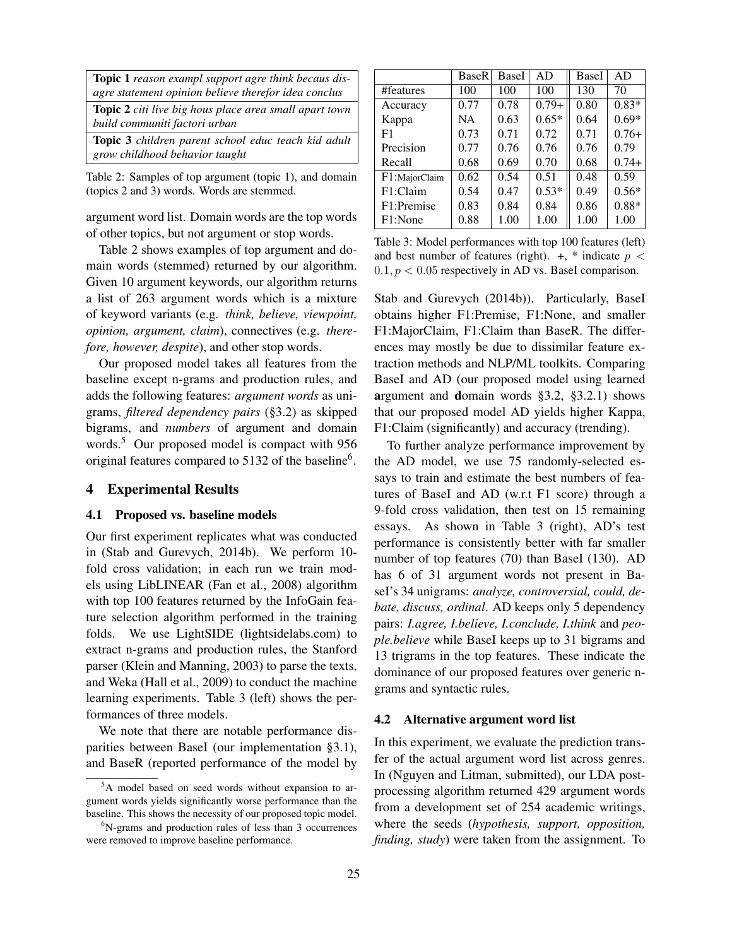| <b>Topic 1</b> reason exampl support agre think becaus dis-<br>agre statement opinion believe therefor idea conclus |
|---------------------------------------------------------------------------------------------------------------------|
| <b>Topic 2</b> citi live big hous place area small apart town<br>build communiti factori urban                      |
| <b>Topic 3</b> children parent school educ teach kid adult<br>grow childhood behavior taught                        |

Table 2: Samples of top argument (topic 1), and domain (topics 2 and 3) words. Words are stemmed.

argument word list. Domain words are the top words of other topics, but not argument or stop words.

Table 2 shows examples of top argument and domain words (stemmed) returned by our algorithm. Given 10 argument keywords, our algorithm returns a list of 263 argument words which is a mixture of keyword variants (e.g. *think, believe, viewpoint, opinion, argument, claim*), connectives (e.g. *therefore, however, despite*), and other stop words.

Our proposed model takes all features from the baseline except n-grams and production rules, and adds the following features: *argument words* as unigrams, *filtered dependency pairs* (§3.2) as skipped bigrams, and *numbers* of argument and domain words.<sup>5</sup> Our proposed model is compact with 956 original features compared to 5132 of the baseline<sup>6</sup>.

#### 4 Experimental Results

#### 4.1 Proposed vs. baseline models

Our first experiment replicates what was conducted in (Stab and Gurevych, 2014b). We perform 10 fold cross validation; in each run we train models using LibLINEAR (Fan et al., 2008) algorithm with top 100 features returned by the InfoGain feature selection algorithm performed in the training folds. We use LightSIDE (lightsidelabs.com) to extract n-grams and production rules, the Stanford parser (Klein and Manning, 2003) to parse the texts, and Weka (Hall et al., 2009) to conduct the machine learning experiments. Table 3 (left) shows the performances of three models.

We note that there are notable performance disparities between BaseI (our implementation §3.1), and BaseR (reported performance of the model by

|               | <b>BaseR</b> | BaseI | AD      | BaseI | AD      |
|---------------|--------------|-------|---------|-------|---------|
| #features     | 100          | 100   | 100     | 130   | 70      |
| Accuracy      | 0.77         | 0.78  | $0.79+$ | 0.80  | $0.83*$ |
| Kappa         | NA.          | 0.63  | $0.65*$ | 0.64  | $0.69*$ |
| F1            | 0.73         | 0.71  | 0.72    | 0.71  | $0.76+$ |
| Precision     | 0.77         | 0.76  | 0.76    | 0.76  | 0.79    |
| Recall        | 0.68         | 0.69  | 0.70    | 0.68  | $0.74+$ |
| F1:MajorClaim | 0.62         | 0.54  | 0.51    | 0.48  | 0.59    |
| F1:Claim      | 0.54         | 0.47  | $0.53*$ | 0.49  | $0.56*$ |
| F1:Premise    | 0.83         | 0.84  | 0.84    | 0.86  | $0.88*$ |
| F1:None       | 0.88         | 1.00  | 1.00    | 1.00  | 1.00    |

Table 3: Model performances with top 100 features (left) and best number of features (right).  $+$ ,  $*$  indicate  $p <$  $0.1, p < 0.05$  respectively in AD vs. BaseI comparison.

Stab and Gurevych (2014b)). Particularly, BaseI obtains higher F1:Premise, F1:None, and smaller F1:MajorClaim, F1:Claim than BaseR. The differences may mostly be due to dissimilar feature extraction methods and NLP/ML toolkits. Comparing BaseI and AD (our proposed model using learned argument and domain words §3.2, §3.2.1) shows that our proposed model AD yields higher Kappa, F1:Claim (significantly) and accuracy (trending).

To further analyze performance improvement by the AD model, we use 75 randomly-selected essays to train and estimate the best numbers of features of BaseI and AD (w.r.t F1 score) through a 9-fold cross validation, then test on 15 remaining essays. As shown in Table 3 (right), AD's test performance is consistently better with far smaller number of top features (70) than BaseI (130). AD has 6 of 31 argument words not present in BaseI's 34 unigrams: *analyze, controversial, could, debate, discuss, ordinal*. AD keeps only 5 dependency pairs: *I.agree, I.believe, I.conclude, I.think* and *people.believe* while BaseI keeps up to 31 bigrams and 13 trigrams in the top features. These indicate the dominance of our proposed features over generic ngrams and syntactic rules.

#### 4.2 Alternative argument word list

In this experiment, we evaluate the prediction transfer of the actual argument word list across genres. In (Nguyen and Litman, submitted), our LDA postprocessing algorithm returned 429 argument words from a development set of 254 academic writings, where the seeds (*hypothesis, support, opposition, finding, study*) were taken from the assignment. To

<sup>5</sup>A model based on seed words without expansion to argument words yields significantly worse performance than the baseline. This shows the necessity of our proposed topic model.

 ${}^{6}$ N-grams and production rules of less than 3 occurrences were removed to improve baseline performance.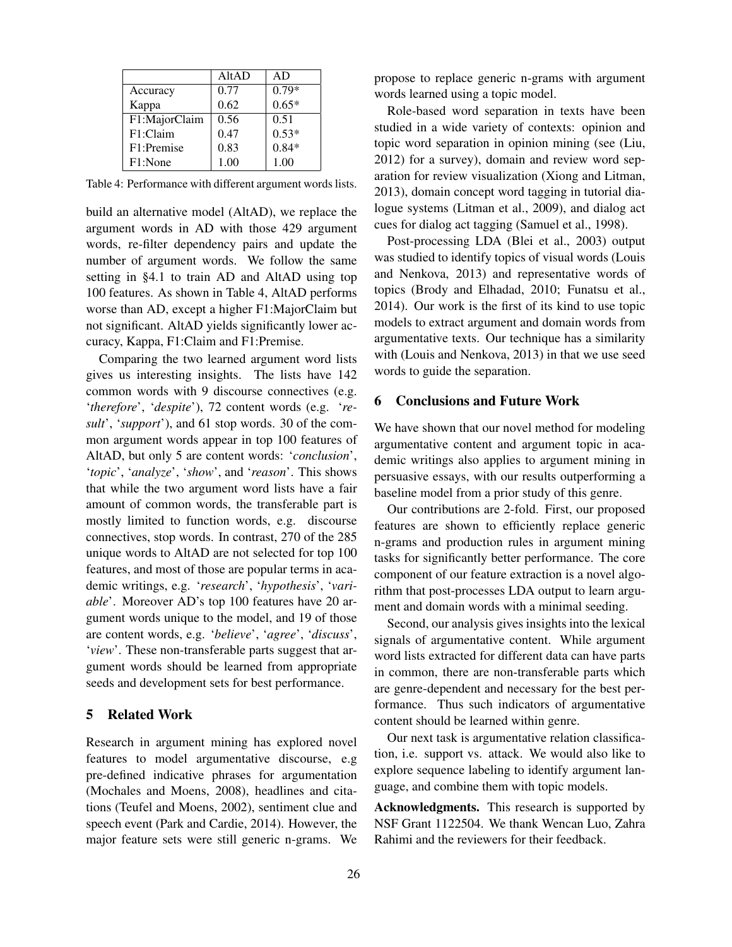|               | AltAD | AD      |
|---------------|-------|---------|
| Accuracy      | 0.77  | $0.79*$ |
| Kappa         | 0.62  | $0.65*$ |
| F1:MajorClaim | 0.56  | 0.51    |
| F1:Claim      | 0.47  | $0.53*$ |
| F1:Premise    | 0.83  | $0.84*$ |
| F1:None       | 1.00  | 1.00    |

Table 4: Performance with different argument words lists.

build an alternative model (AltAD), we replace the argument words in AD with those 429 argument words, re-filter dependency pairs and update the number of argument words. We follow the same setting in §4.1 to train AD and AltAD using top 100 features. As shown in Table 4, AltAD performs worse than AD, except a higher F1:MajorClaim but not significant. AltAD yields significantly lower accuracy, Kappa, F1:Claim and F1:Premise.

Comparing the two learned argument word lists gives us interesting insights. The lists have 142 common words with 9 discourse connectives (e.g. '*therefore*', '*despite*'), 72 content words (e.g. '*result*', '*support*'), and 61 stop words. 30 of the common argument words appear in top 100 features of AltAD, but only 5 are content words: '*conclusion*', '*topic*', '*analyze*', '*show*', and '*reason*'. This shows that while the two argument word lists have a fair amount of common words, the transferable part is mostly limited to function words, e.g. discourse connectives, stop words. In contrast, 270 of the 285 unique words to AltAD are not selected for top 100 features, and most of those are popular terms in academic writings, e.g. '*research*', '*hypothesis*', '*variable*'. Moreover AD's top 100 features have 20 argument words unique to the model, and 19 of those are content words, e.g. '*believe*', '*agree*', '*discuss*', '*view*'. These non-transferable parts suggest that argument words should be learned from appropriate seeds and development sets for best performance.

#### 5 Related Work

Research in argument mining has explored novel features to model argumentative discourse, e.g pre-defined indicative phrases for argumentation (Mochales and Moens, 2008), headlines and citations (Teufel and Moens, 2002), sentiment clue and speech event (Park and Cardie, 2014). However, the major feature sets were still generic n-grams. We

propose to replace generic n-grams with argument words learned using a topic model.

Role-based word separation in texts have been studied in a wide variety of contexts: opinion and topic word separation in opinion mining (see (Liu, 2012) for a survey), domain and review word separation for review visualization (Xiong and Litman, 2013), domain concept word tagging in tutorial dialogue systems (Litman et al., 2009), and dialog act cues for dialog act tagging (Samuel et al., 1998).

Post-processing LDA (Blei et al., 2003) output was studied to identify topics of visual words (Louis and Nenkova, 2013) and representative words of topics (Brody and Elhadad, 2010; Funatsu et al., 2014). Our work is the first of its kind to use topic models to extract argument and domain words from argumentative texts. Our technique has a similarity with (Louis and Nenkova, 2013) in that we use seed words to guide the separation.

# 6 Conclusions and Future Work

We have shown that our novel method for modeling argumentative content and argument topic in academic writings also applies to argument mining in persuasive essays, with our results outperforming a baseline model from a prior study of this genre.

Our contributions are 2-fold. First, our proposed features are shown to efficiently replace generic n-grams and production rules in argument mining tasks for significantly better performance. The core component of our feature extraction is a novel algorithm that post-processes LDA output to learn argument and domain words with a minimal seeding.

Second, our analysis gives insights into the lexical signals of argumentative content. While argument word lists extracted for different data can have parts in common, there are non-transferable parts which are genre-dependent and necessary for the best performance. Thus such indicators of argumentative content should be learned within genre.

Our next task is argumentative relation classification, i.e. support vs. attack. We would also like to explore sequence labeling to identify argument language, and combine them with topic models.

Acknowledgments. This research is supported by NSF Grant 1122504. We thank Wencan Luo, Zahra Rahimi and the reviewers for their feedback.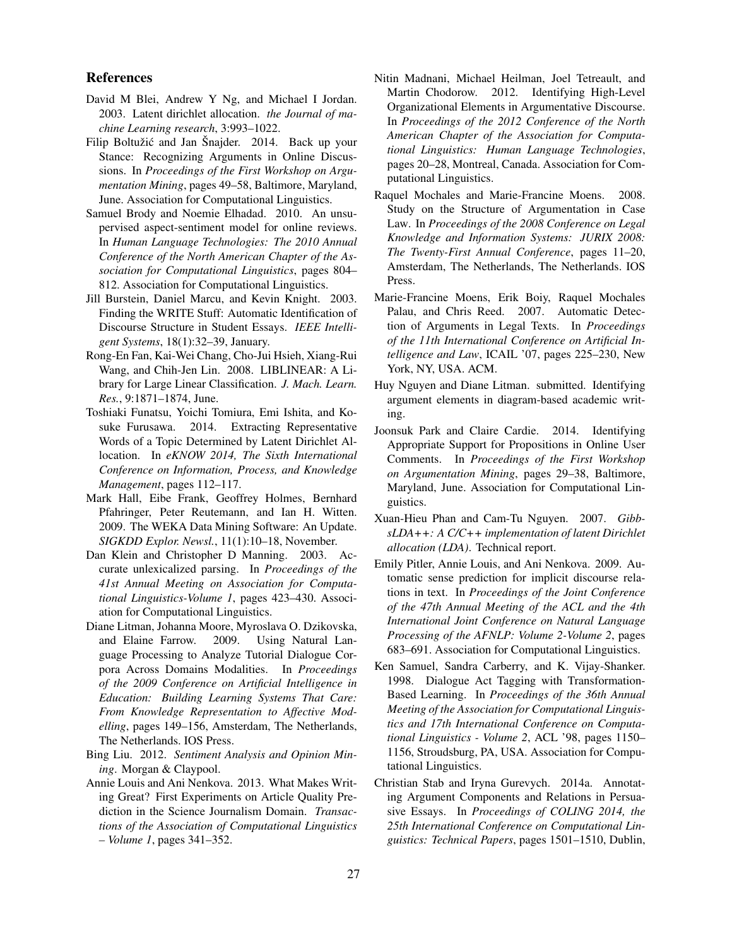#### References

- David M Blei, Andrew Y Ng, and Michael I Jordan. 2003. Latent dirichlet allocation. *the Journal of machine Learning research*, 3:993–1022.
- Filip Boltužić and Jan Šnajder. 2014. Back up your Stance: Recognizing Arguments in Online Discussions. In *Proceedings of the First Workshop on Argumentation Mining*, pages 49–58, Baltimore, Maryland, June. Association for Computational Linguistics.
- Samuel Brody and Noemie Elhadad. 2010. An unsupervised aspect-sentiment model for online reviews. In *Human Language Technologies: The 2010 Annual Conference of the North American Chapter of the Association for Computational Linguistics*, pages 804– 812. Association for Computational Linguistics.
- Jill Burstein, Daniel Marcu, and Kevin Knight. 2003. Finding the WRITE Stuff: Automatic Identification of Discourse Structure in Student Essays. *IEEE Intelligent Systems*, 18(1):32–39, January.
- Rong-En Fan, Kai-Wei Chang, Cho-Jui Hsieh, Xiang-Rui Wang, and Chih-Jen Lin. 2008. LIBLINEAR: A Library for Large Linear Classification. *J. Mach. Learn. Res.*, 9:1871–1874, June.
- Toshiaki Funatsu, Yoichi Tomiura, Emi Ishita, and Kosuke Furusawa. 2014. Extracting Representative Words of a Topic Determined by Latent Dirichlet Allocation. In *eKNOW 2014, The Sixth International Conference on Information, Process, and Knowledge Management*, pages 112–117.
- Mark Hall, Eibe Frank, Geoffrey Holmes, Bernhard Pfahringer, Peter Reutemann, and Ian H. Witten. 2009. The WEKA Data Mining Software: An Update. *SIGKDD Explor. Newsl.*, 11(1):10–18, November.
- Dan Klein and Christopher D Manning. 2003. Accurate unlexicalized parsing. In *Proceedings of the 41st Annual Meeting on Association for Computational Linguistics-Volume 1*, pages 423–430. Association for Computational Linguistics.
- Diane Litman, Johanna Moore, Myroslava O. Dzikovska, and Elaine Farrow. 2009. Using Natural Language Processing to Analyze Tutorial Dialogue Corpora Across Domains Modalities. In *Proceedings of the 2009 Conference on Artificial Intelligence in Education: Building Learning Systems That Care: From Knowledge Representation to Affective Modelling*, pages 149–156, Amsterdam, The Netherlands, The Netherlands. IOS Press.
- Bing Liu. 2012. *Sentiment Analysis and Opinion Mining*. Morgan & Claypool.
- Annie Louis and Ani Nenkova. 2013. What Makes Writing Great? First Experiments on Article Quality Prediction in the Science Journalism Domain. *Transactions of the Association of Computational Linguistics – Volume 1*, pages 341–352.
- Nitin Madnani, Michael Heilman, Joel Tetreault, and Martin Chodorow. 2012. Identifying High-Level Organizational Elements in Argumentative Discourse. In *Proceedings of the 2012 Conference of the North American Chapter of the Association for Computational Linguistics: Human Language Technologies*, pages 20–28, Montreal, Canada. Association for Computational Linguistics.
- Raquel Mochales and Marie-Francine Moens. 2008. Study on the Structure of Argumentation in Case Law. In *Proceedings of the 2008 Conference on Legal Knowledge and Information Systems: JURIX 2008: The Twenty-First Annual Conference*, pages 11–20, Amsterdam, The Netherlands, The Netherlands. IOS Press.
- Marie-Francine Moens, Erik Boiy, Raquel Mochales Palau, and Chris Reed. 2007. Automatic Detection of Arguments in Legal Texts. In *Proceedings of the 11th International Conference on Artificial Intelligence and Law*, ICAIL '07, pages 225–230, New York, NY, USA. ACM.
- Huy Nguyen and Diane Litman. submitted. Identifying argument elements in diagram-based academic writing.
- Joonsuk Park and Claire Cardie. 2014. Identifying Appropriate Support for Propositions in Online User Comments. In *Proceedings of the First Workshop on Argumentation Mining*, pages 29–38, Baltimore, Maryland, June. Association for Computational Linguistics.
- Xuan-Hieu Phan and Cam-Tu Nguyen. 2007. *GibbsLDA++: A C/C++ implementation of latent Dirichlet allocation (LDA)*. Technical report.
- Emily Pitler, Annie Louis, and Ani Nenkova. 2009. Automatic sense prediction for implicit discourse relations in text. In *Proceedings of the Joint Conference of the 47th Annual Meeting of the ACL and the 4th International Joint Conference on Natural Language Processing of the AFNLP: Volume 2-Volume 2*, pages 683–691. Association for Computational Linguistics.
- Ken Samuel, Sandra Carberry, and K. Vijay-Shanker. 1998. Dialogue Act Tagging with Transformation-Based Learning. In *Proceedings of the 36th Annual Meeting of the Association for Computational Linguistics and 17th International Conference on Computational Linguistics - Volume 2*, ACL '98, pages 1150– 1156, Stroudsburg, PA, USA. Association for Computational Linguistics.
- Christian Stab and Iryna Gurevych. 2014a. Annotating Argument Components and Relations in Persuasive Essays. In *Proceedings of COLING 2014, the 25th International Conference on Computational Linguistics: Technical Papers*, pages 1501–1510, Dublin,